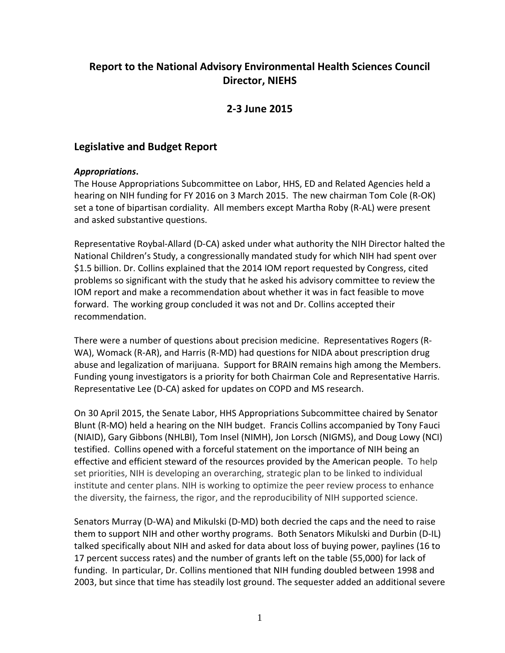# **Report to the National Advisory Environmental Health Sciences Council Director, NIEHS**

## **2-3 June 2015**

## **Legislative and Budget Report**

### *Appropriations***.**

The House Appropriations Subcommittee on Labor, HHS, ED and Related Agencies held a hearing on NIH funding for FY 2016 on 3 March 2015. The new chairman Tom Cole (R-OK) set a tone of bipartisan cordiality. All members except Martha Roby (R-AL) were present and asked substantive questions.

Representative Roybal-Allard (D-CA) asked under what authority the NIH Director halted the National Children's Study, a congressionally mandated study for which NIH had spent over \$1.5 billion. Dr. Collins explained that the 2014 IOM report requested by Congress, cited problems so significant with the study that he asked his advisory committee to review the IOM report and make a recommendation about whether it was in fact feasible to move forward. The working group concluded it was not and Dr. Collins accepted their recommendation.

There were a number of questions about precision medicine. Representatives Rogers (R-WA), Womack (R-AR), and Harris (R-MD) had questions for NIDA about prescription drug abuse and legalization of marijuana. Support for BRAIN remains high among the Members. Funding young investigators is a priority for both Chairman Cole and Representative Harris. Representative Lee (D-CA) asked for updates on COPD and MS research.

On 30 April 2015, the Senate Labor, HHS Appropriations Subcommittee chaired by Senator Blunt (R-MO) held a hearing on the NIH budget. Francis Collins accompanied by Tony Fauci (NIAID), Gary Gibbons (NHLBI), Tom Insel (NIMH), Jon Lorsch (NIGMS), and Doug Lowy (NCI) testified. Collins opened with a forceful statement on the importance of NIH being an effective and efficient steward of the resources provided by the American people. To help set priorities, NIH is developing an overarching, strategic plan to be linked to individual institute and center plans. NIH is working to optimize the peer review process to enhance the diversity, the fairness, the rigor, and the reproducibility of NIH supported science.

Senators Murray (D-WA) and Mikulski (D-MD) both decried the caps and the need to raise them to support NIH and other worthy programs. Both Senators Mikulski and Durbin (D-IL) talked specifically about NIH and asked for data about loss of buying power, paylines (16 to 17 percent success rates) and the number of grants left on the table (55,000) for lack of funding. In particular, Dr. Collins mentioned that NIH funding doubled between 1998 and 2003, but since that time has steadily lost ground. The sequester added an additional severe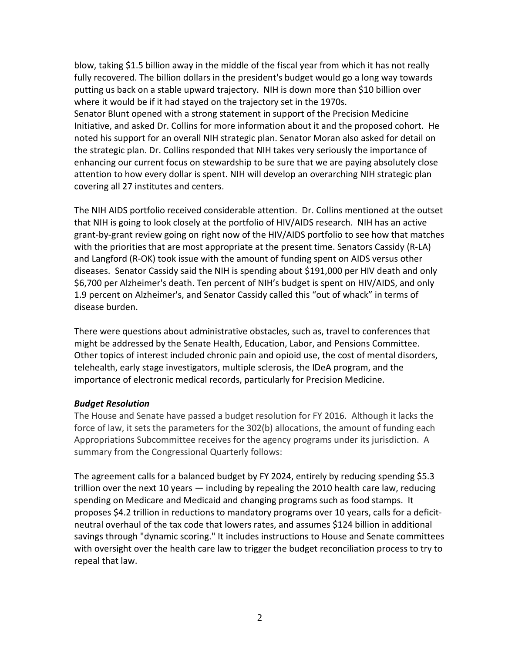blow, taking \$1.5 billion away in the middle of the fiscal year from which it has not really fully recovered. The billion dollars in the president's budget would go a long way towards putting us back on a stable upward trajectory. NIH is down more than \$10 billion over where it would be if it had stayed on the trajectory set in the 1970s. Senator Blunt opened with a strong statement in support of the Precision Medicine Initiative, and asked Dr. Collins for more information about it and the proposed cohort. He noted his support for an overall NIH strategic plan. Senator Moran also asked for detail on the strategic plan. Dr. Collins responded that NIH takes very seriously the importance of enhancing our current focus on stewardship to be sure that we are paying absolutely close attention to how every dollar is spent. NIH will develop an overarching NIH strategic plan covering all 27 institutes and centers.

The NIH AIDS portfolio received considerable attention. Dr. Collins mentioned at the outset that NIH is going to look closely at the portfolio of HIV/AIDS research. NIH has an active grant-by-grant review going on right now of the HIV/AIDS portfolio to see how that matches with the priorities that are most appropriate at the present time. Senators Cassidy (R-LA) and Langford (R-OK) took issue with the amount of funding spent on AIDS versus other diseases. Senator Cassidy said the NIH is spending about \$191,000 per HIV death and only \$6,700 per Alzheimer's death. Ten percent of NIH's budget is spent on HIV/AIDS, and only 1.9 percent on Alzheimer's, and Senator Cassidy called this "out of whack" in terms of disease burden.

There were questions about administrative obstacles, such as, travel to conferences that might be addressed by the Senate Health, Education, Labor, and Pensions Committee. Other topics of interest included chronic pain and opioid use, the cost of mental disorders, telehealth, early stage investigators, multiple sclerosis, the IDeA program, and the importance of electronic medical records, particularly for Precision Medicine.

#### *Budget Resolution*

The House and Senate have passed a budget resolution for FY 2016. Although it lacks the force of law, it sets the parameters for the 302(b) allocations, the amount of funding each Appropriations Subcommittee receives for the agency programs under its jurisdiction. A summary from the Congressional Quarterly follows:

The agreement calls for a balanced budget by FY 2024, entirely by reducing spending \$5.3 trillion over the next 10 years — including by repealing the 2010 health care law, reducing spending on Medicare and Medicaid and changing programs such as food stamps. It proposes \$4.2 trillion in reductions to mandatory programs over 10 years, calls for a deficitneutral overhaul of the tax code that lowers rates, and assumes \$124 billion in additional savings through "dynamic scoring." It includes instructions to House and Senate committees with oversight over the health care law to trigger the budget reconciliation process to try to repeal that law.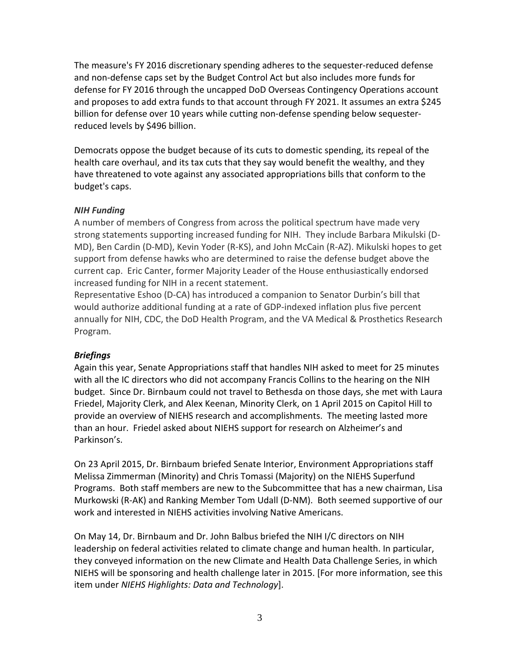The measure's FY 2016 discretionary spending adheres to the sequester-reduced defense and non-defense caps set by the Budget Control Act but also includes more funds for defense for FY 2016 through the uncapped DoD Overseas Contingency Operations account and proposes to add extra funds to that account through FY 2021. It assumes an extra \$245 billion for defense over 10 years while cutting non-defense spending below sequesterreduced levels by \$496 billion.

Democrats oppose the budget because of its cuts to domestic spending, its repeal of the health care overhaul, and its tax cuts that they say would benefit the wealthy, and they have threatened to vote against any associated appropriations bills that conform to the budget's caps.

### *NIH Funding*

A number of members of Congress from across the political spectrum have made very strong statements supporting increased funding for NIH. They include Barbara Mikulski (D-MD), Ben Cardin (D-MD), Kevin Yoder (R-KS), and John McCain (R-AZ). Mikulski hopes to get support from defense hawks who are determined to raise the defense budget above the current cap. Eric Canter, former Majority Leader of the House enthusiastically endorsed increased funding for NIH in a recent statement.

Representative Eshoo (D-CA) has introduced a companion to Senator Durbin's bill that would authorize additional funding at a rate of GDP-indexed inflation plus five percent annually for NIH, CDC, the DoD Health Program, and the VA Medical & Prosthetics Research Program.

## *Briefings*

Again this year, Senate Appropriations staff that handles NIH asked to meet for 25 minutes with all the IC directors who did not accompany Francis Collins to the hearing on the NIH budget. Since Dr. Birnbaum could not travel to Bethesda on those days, she met with Laura Friedel, Majority Clerk, and Alex Keenan, Minority Clerk, on 1 April 2015 on Capitol Hill to provide an overview of NIEHS research and accomplishments. The meeting lasted more than an hour. Friedel asked about NIEHS support for research on Alzheimer's and Parkinson's.

On 23 April 2015, Dr. Birnbaum briefed Senate Interior, Environment Appropriations staff Melissa Zimmerman (Minority) and Chris Tomassi (Majority) on the NIEHS Superfund Programs. Both staff members are new to the Subcommittee that has a new chairman, Lisa Murkowski (R-AK) and Ranking Member Tom Udall (D-NM). Both seemed supportive of our work and interested in NIEHS activities involving Native Americans.

On May 14, Dr. Birnbaum and Dr. John Balbus briefed the NIH I/C directors on NIH leadership on federal activities related to climate change and human health. In particular, they conveyed information on the new Climate and Health Data Challenge Series, in which NIEHS will be sponsoring and health challenge later in 2015. [For more information, see this item under *NIEHS Highlights: Data and Technology*].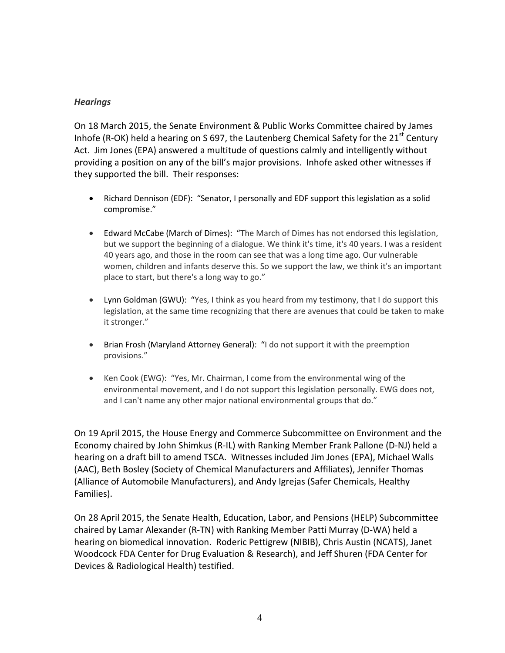### *Hearings*

On 18 March 2015, the Senate Environment & Public Works Committee chaired by James Inhofe (R-OK) held a hearing on S 697, the Lautenberg Chemical Safety for the  $21<sup>st</sup>$  Century Act. Jim Jones (EPA) answered a multitude of questions calmly and intelligently without providing a position on any of the bill's major provisions. Inhofe asked other witnesses if they supported the bill. Their responses:

- Richard Dennison (EDF): "Senator, I personally and EDF support this legislation as a solid compromise."
- Edward McCabe (March of Dimes): "The March of Dimes has not endorsed this legislation, but we support the beginning of a dialogue. We think it's time, it's 40 years. I was a resident 40 years ago, and those in the room can see that was a long time ago. Our vulnerable women, children and infants deserve this. So we support the law, we think it's an important place to start, but there's a long way to go."
- Lynn Goldman (GWU): "Yes, I think as you heard from my testimony, that I do support this legislation, at the same time recognizing that there are avenues that could be taken to make it stronger."
- Brian Frosh (Maryland Attorney General): "I do not support it with the preemption provisions."
- Ken Cook (EWG): "Yes, Mr. Chairman, I come from the environmental wing of the environmental movement, and I do not support this legislation personally. EWG does not, and I can't name any other major national environmental groups that do."

On 19 April 2015, the House Energy and Commerce Subcommittee on Environment and the Economy chaired by John Shimkus (R-IL) with Ranking Member Frank Pallone (D-NJ) held a hearing on a draft bill to amend TSCA. Witnesses included Jim Jones (EPA), Michael Walls (AAC), Beth Bosley (Society of Chemical Manufacturers and Affiliates), Jennifer Thomas (Alliance of Automobile Manufacturers), and Andy Igrejas (Safer Chemicals, Healthy Families).

On 28 April 2015, the Senate Health, Education, Labor, and Pensions (HELP) Subcommittee chaired by Lamar Alexander (R-TN) with Ranking Member Patti Murray (D-WA) held a hearing on biomedical innovation. Roderic Pettigrew (NIBIB), Chris Austin (NCATS), Janet Woodcock FDA Center for Drug Evaluation & Research), and Jeff Shuren (FDA Center for Devices & Radiological Health) testified.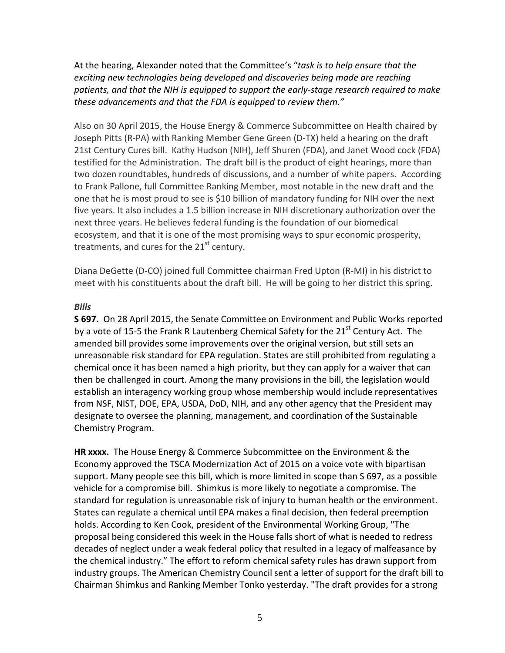At the hearing, Alexander noted that the Committee's "*task is to help ensure that the exciting new technologies being developed and discoveries being made are reaching patients, and that the NIH is equipped to support the early-stage research required to make these advancements and that the FDA is equipped to review them."* 

Also on 30 April 2015, the House Energy & Commerce Subcommittee on Health chaired by Joseph Pitts (R-PA) with Ranking Member Gene Green (D-TX) held a hearing on the draft 21st Century Cures bill. Kathy Hudson (NIH), Jeff Shuren (FDA), and Janet Wood cock (FDA) testified for the Administration. The draft bill is the product of eight hearings, more than two dozen roundtables, hundreds of discussions, and a number of white papers. According to Frank Pallone, full Committee Ranking Member, most notable in the new draft and the one that he is most proud to see is \$10 billion of mandatory funding for NIH over the next five years. It also includes a 1.5 billion increase in NIH discretionary authorization over the next three years. He believes federal funding is the foundation of our biomedical ecosystem, and that it is one of the most promising ways to spur economic prosperity, treatments, and cures for the  $21<sup>st</sup>$  century.

Diana DeGette (D-CO) joined full Committee chairman Fred Upton (R-MI) in his district to meet with his constituents about the draft bill. He will be going to her district this spring.

#### *Bills*

**S 697.** On 28 April 2015, the Senate Committee on Environment and Public Works reported by a vote of 15-5 the Frank R Lautenberg Chemical Safety for the  $21<sup>st</sup>$  Century Act. The amended bill provides some improvements over the original version, but still sets an unreasonable risk standard for EPA regulation. States are still prohibited from regulating a chemical once it has been named a high priority, but they can apply for a waiver that can then be challenged in court. Among the many provisions in the bill, the legislation would establish an interagency working group whose membership would include representatives from NSF, NIST, DOE, EPA, USDA, DoD, NIH, and any other agency that the President may designate to oversee the planning, management, and coordination of the Sustainable Chemistry Program.

**HR xxxx.** The House Energy & Commerce Subcommittee on the Environment & the Economy approved the TSCA Modernization Act of 2015 on a voice vote with bipartisan support. Many people see this bill, which is more limited in scope than S 697, as a possible vehicle for a compromise bill. Shimkus is more likely to negotiate a compromise. The standard for regulation is unreasonable risk of injury to human health or the environment. States can regulate a chemical until EPA makes a final decision, then federal preemption holds. According to Ken Cook, president of the Environmental Working Group, "The proposal being considered this week in the House falls short of what is needed to redress decades of neglect under a weak federal policy that resulted in a legacy of malfeasance by the chemical industry." The effort to reform chemical safety rules has drawn support from industry groups. The American Chemistry Council sent a letter of support for the draft bill to Chairman Shimkus and Ranking Member Tonko yesterday. "The draft provides for a strong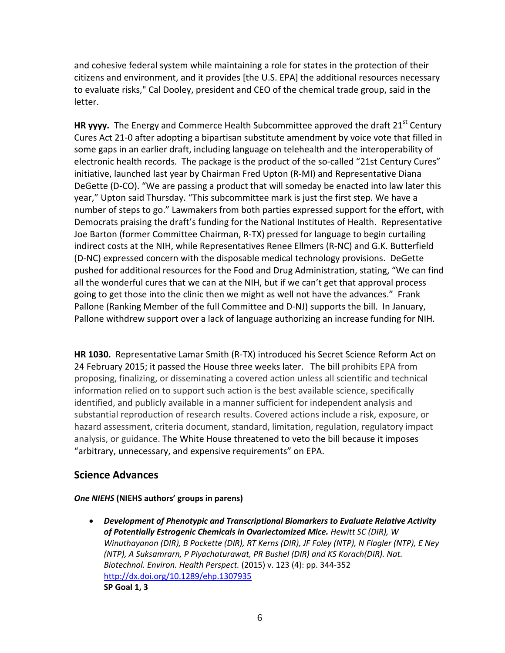and cohesive federal system while maintaining a role for states in the protection of their citizens and environment, and it provides [the U.S. EPA] the additional resources necessary to evaluate risks," Cal Dooley, president and CEO of the chemical trade group, said in the letter.

**HR yyyy.** The Energy and Commerce Health Subcommittee approved the draft 21<sup>st</sup> Century Cures Act 21-0 after adopting a bipartisan substitute amendment by voice vote that filled in some gaps in an earlier draft, including language on telehealth and the interoperability of electronic health records. The package is the product of the so-called "21st Century Cures" initiative, launched last year by Chairman Fred Upton (R-MI) and Representative Diana DeGette (D-CO). "We are passing a product that will someday be enacted into law later this year," Upton said Thursday. "This subcommittee mark is just the first step. We have a number of steps to go." Lawmakers from both parties expressed support for the effort, with Democrats praising the draft's funding for the National Institutes of Health. Representative Joe Barton (former Committee Chairman, R-TX) pressed for language to begin curtailing indirect costs at the NIH, while Representatives Renee Ellmers (R-NC) and G.K. Butterfield (D-NC) expressed concern with the disposable medical technology provisions. DeGette pushed for additional resources for the Food and Drug Administration, stating, "We can find all the wonderful cures that we can at the NIH, but if we can't get that approval process going to get those into the clinic then we might as well not have the advances." Frank Pallone (Ranking Member of the full Committee and D-NJ) supports the bill. In January, Pallone withdrew support over a lack of language authorizing an increase funding for NIH.

**HR 1030.** Representative Lamar Smith (R-TX) introduced his Secret Science Reform Act on 24 February 2015; it passed the House three weeks later. The bill prohibits EPA from proposing, finalizing, or disseminating a covered action unless all scientific and technical information relied on to support such action is the best available science, specifically identified, and publicly available in a manner sufficient for independent analysis and substantial reproduction of research results. Covered actions include a risk, exposure, or hazard assessment, criteria document, standard, limitation, regulation, regulatory impact analysis, or guidance. The White House threatened to veto the bill because it imposes "arbitrary, unnecessary, and expensive requirements" on EPA.

# **Science Advances**

#### *One NIEHS* **(NIEHS authors' groups in parens)**

• *Development of Phenotypic and Transcriptional Biomarkers to Evaluate Relative Activity of Potentially Estrogenic Chemicals in Ovariectomized Mice. Hewitt SC (DIR), W Winuthayanon (DIR), B Pockette (DIR), RT Kerns (DIR), JF Foley (NTP), N Flagler (NTP), E Ney (NTP), A Suksamrarn, P Piyachaturawat, PR Bushel (DIR) and KS Korach(DIR). Nat. Biotechnol. Environ. Health Perspect.* (2015) v. 123 (4): pp. 344-352 <http://dx.doi.org/10.1289/ehp.1307935> **SP Goal 1, 3**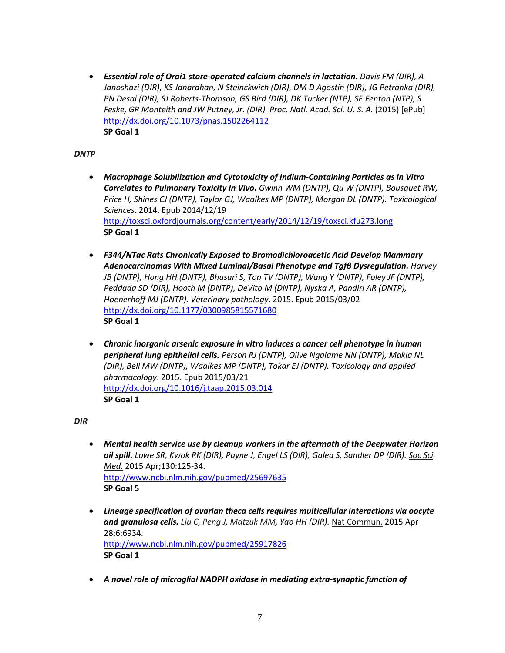• *Essential role of Orai1 store-operated calcium channels in lactation. Davis FM (DIR), A Janoshazi (DIR), KS Janardhan, N Steinckwich (DIR), DM D'Agostin (DIR), JG Petranka (DIR), PN Desai (DIR), SJ Roberts-Thomson, GS Bird (DIR), DK Tucker (NTP), SE Fenton (NTP), S Feske, GR Monteith and JW Putney, Jr. (DIR). Proc. Natl. Acad. Sci. U. S. A. (2015)* [ePub] <http://dx.doi.org/10.1073/pnas.1502264112> **SP Goal 1**

#### *DNTP*

- *Macrophage Solubilization and Cytotoxicity of Indium-Containing Particles as In Vitro Correlates to Pulmonary Toxicity In Vivo. Gwinn WM (DNTP), Qu W (DNTP), Bousquet RW, Price H, Shines CJ (DNTP), Taylor GJ, Waalkes MP (DNTP), Morgan DL (DNTP). Toxicological Sciences*. 2014. Epub 2014/12/19 <http://toxsci.oxfordjournals.org/content/early/2014/12/19/toxsci.kfu273.long> **SP Goal 1**
- *F344/NTac Rats Chronically Exposed to Bromodichloroacetic Acid Develop Mammary Adenocarcinomas With Mixed Luminal/Basal Phenotype and Tgfβ Dysregulation. Harvey JB (DNTP), Hong HH (DNTP), Bhusari S, Ton TV (DNTP), Wang Y (DNTP), Foley JF (DNTP), Peddada SD (DIR), Hooth M (DNTP), DeVito M (DNTP), Nyska A, Pandiri AR (DNTP), Hoenerhoff MJ (DNTP). Veterinary pathology*. 2015. Epub 2015/03/02 <http://dx.doi.org/10.1177/0300985815571680> **SP Goal 1**
- *Chronic inorganic arsenic exposure in vitro induces a cancer cell phenotype in human peripheral lung epithelial cells. Person RJ (DNTP), Olive Ngalame NN (DNTP), Makia NL (DIR), Bell MW (DNTP), Waalkes MP (DNTP), Tokar EJ (DNTP). Toxicology and applied pharmacology*. 2015. Epub 2015/03/21 <http://dx.doi.org/10.1016/j.taap.2015.03.014> **SP Goal 1**

*DIR*

- *Mental health service use by cleanup workers in the aftermath of the Deepwater Horizon oil spill. [Lowe SR,](http://www.ncbi.nlm.nih.gov/pubmed/?term=Lowe%20SR%5BAuthor%5D&cauthor=true&cauthor_uid=25697635) [Kwok RK](http://www.ncbi.nlm.nih.gov/pubmed/?term=Kwok%20RK%5BAuthor%5D&cauthor=true&cauthor_uid=25697635) (DIR), Payne J, Engel LS (DIR)[, Galea S,](http://www.ncbi.nlm.nih.gov/pubmed/?term=Galea%20S%5BAuthor%5D&cauthor=true&cauthor_uid=25697635) Sandler DP (DIR). Soc Sci Med.* 2015 Apr;130:125-34. <http://www.ncbi.nlm.nih.gov/pubmed/25697635> **SP Goal 5**
- *Lineage specification of ovarian theca cells requires multicellular interactions via oocyte and granulosa cells. [Liu C,](http://www.ncbi.nlm.nih.gov/pubmed/?term=Liu%20C%5BAuthor%5D&cauthor=true&cauthor_uid=25917826) [Peng J,](http://www.ncbi.nlm.nih.gov/pubmed/?term=Peng%20J%5BAuthor%5D&cauthor=true&cauthor_uid=25917826) [Matzuk MM,](http://www.ncbi.nlm.nih.gov/pubmed/?term=Matzuk%20MM%5BAuthor%5D&cauthor=true&cauthor_uid=25917826) [Yao HH](http://www.ncbi.nlm.nih.gov/pubmed/?term=Yao%20HH%5BAuthor%5D&cauthor=true&cauthor_uid=25917826) (DIR).* Nat Commun. 2015 Apr 28;6:6934. <http://www.ncbi.nlm.nih.gov/pubmed/25917826> **SP Goal 1**
- *A novel role of microglial NADPH oxidase in mediating extra-synaptic function of*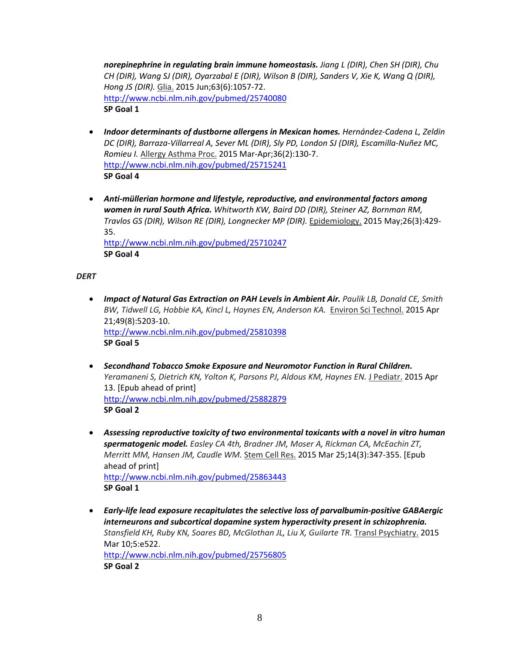*norepinephrine in regulating brain immune homeostasis. [Jiang L](http://www.ncbi.nlm.nih.gov/pubmed/?term=Jiang%20L%5BAuthor%5D&cauthor=true&cauthor_uid=25740080) (DIR), [Chen SH](http://www.ncbi.nlm.nih.gov/pubmed/?term=Chen%20SH%5BAuthor%5D&cauthor=true&cauthor_uid=25740080) (DIR)[, Chu](http://www.ncbi.nlm.nih.gov/pubmed/?term=Chu%20CH%5BAuthor%5D&cauthor=true&cauthor_uid=25740080)  [CH](http://www.ncbi.nlm.nih.gov/pubmed/?term=Chu%20CH%5BAuthor%5D&cauthor=true&cauthor_uid=25740080) (DIR)[, Wang SJ](http://www.ncbi.nlm.nih.gov/pubmed/?term=Wang%20SJ%5BAuthor%5D&cauthor=true&cauthor_uid=25740080) (DIR), [Oyarzabal E](http://www.ncbi.nlm.nih.gov/pubmed/?term=Oyarzabal%20E%5BAuthor%5D&cauthor=true&cauthor_uid=25740080) (DIR), [Wilson B](http://www.ncbi.nlm.nih.gov/pubmed/?term=Wilson%20B%5BAuthor%5D&cauthor=true&cauthor_uid=25740080) (DIR), [Sanders V,](http://www.ncbi.nlm.nih.gov/pubmed/?term=Sanders%20V%5BAuthor%5D&cauthor=true&cauthor_uid=25740080) [Xie K,](http://www.ncbi.nlm.nih.gov/pubmed/?term=Xie%20K%5BAuthor%5D&cauthor=true&cauthor_uid=25740080) [Wang Q](http://www.ncbi.nlm.nih.gov/pubmed/?term=Wang%20Q%5BAuthor%5D&cauthor=true&cauthor_uid=25740080) (DIR), [Hong JS](http://www.ncbi.nlm.nih.gov/pubmed/?term=Hong%20JS%5BAuthor%5D&cauthor=true&cauthor_uid=25740080) (DIR).* Glia. 2015 Jun;63(6):1057-72. <http://www.ncbi.nlm.nih.gov/pubmed/25740080> **SP Goal 1**

- *Indoor determinants of dustborne allergens in Mexican homes. [Hernández-Cadena L,](http://www.ncbi.nlm.nih.gov/pubmed/?term=Hern%C3%A1ndez-Cadena%20L%5BAuthor%5D&cauthor=true&cauthor_uid=25715241) [Zeldin](http://www.ncbi.nlm.nih.gov/pubmed/?term=Zeldin%20DC%5BAuthor%5D&cauthor=true&cauthor_uid=25715241)  [DC](http://www.ncbi.nlm.nih.gov/pubmed/?term=Zeldin%20DC%5BAuthor%5D&cauthor=true&cauthor_uid=25715241) (DIR)[, Barraza-Villarreal A,](http://www.ncbi.nlm.nih.gov/pubmed/?term=Barraza-Villarreal%20A%5BAuthor%5D&cauthor=true&cauthor_uid=25715241) [Sever ML](http://www.ncbi.nlm.nih.gov/pubmed/?term=Sever%20ML%5BAuthor%5D&cauthor=true&cauthor_uid=25715241) (DIR)[, Sly PD,](http://www.ncbi.nlm.nih.gov/pubmed/?term=Sly%20PD%5BAuthor%5D&cauthor=true&cauthor_uid=25715241) [London SJ](http://www.ncbi.nlm.nih.gov/pubmed/?term=London%20SJ%5BAuthor%5D&cauthor=true&cauthor_uid=25715241) (DIR), [Escamilla-Nuñez MC,](http://www.ncbi.nlm.nih.gov/pubmed/?term=Escamilla-Nu%C3%B1ez%20MC%5BAuthor%5D&cauthor=true&cauthor_uid=25715241) [Romieu I.](http://www.ncbi.nlm.nih.gov/pubmed/?term=Romieu%20I%5BAuthor%5D&cauthor=true&cauthor_uid=25715241)* Allergy Asthma Proc. 2015 Mar-Apr;36(2):130-7. <http://www.ncbi.nlm.nih.gov/pubmed/25715241> **SP Goal 4**
- *Anti-müllerian hormone and lifestyle, reproductive, and environmental factors among women in rural South Africa. [Whitworth KW,](http://www.ncbi.nlm.nih.gov/pubmed/?term=Whitworth%20KW%5BAuthor%5D&cauthor=true&cauthor_uid=25710247) [Baird DD](http://www.ncbi.nlm.nih.gov/pubmed/?term=Baird%20DD%5BAuthor%5D&cauthor=true&cauthor_uid=25710247) (DIR)[, Steiner AZ,](http://www.ncbi.nlm.nih.gov/pubmed/?term=Steiner%20AZ%5BAuthor%5D&cauthor=true&cauthor_uid=25710247) [Bornman RM,](http://www.ncbi.nlm.nih.gov/pubmed/?term=Bornman%20RM%5BAuthor%5D&cauthor=true&cauthor_uid=25710247) [Travlos GS](http://www.ncbi.nlm.nih.gov/pubmed/?term=Travlos%20GS%5BAuthor%5D&cauthor=true&cauthor_uid=25710247) (DIR)[, Wilson RE](http://www.ncbi.nlm.nih.gov/pubmed/?term=Wilson%20RE%5BAuthor%5D&cauthor=true&cauthor_uid=25710247) (DIR)[, Longnecker MP](http://www.ncbi.nlm.nih.gov/pubmed/?term=Longnecker%20MP%5BAuthor%5D&cauthor=true&cauthor_uid=25710247) (DIR).* Epidemiology. 2015 May;26(3):429- 35. <http://www.ncbi.nlm.nih.gov/pubmed/25710247>

**SP Goal 4**

#### *DERT*

- *Impact of Natural Gas Extraction on PAH Levels in Ambient Air. [Paulik LB,](http://www.ncbi.nlm.nih.gov/pubmed/?term=Paulik%20LB%5BAuthor%5D&cauthor=true&cauthor_uid=25810398) [Donald CE,](http://www.ncbi.nlm.nih.gov/pubmed/?term=Donald%20CE%5BAuthor%5D&cauthor=true&cauthor_uid=25810398) [Smith](http://www.ncbi.nlm.nih.gov/pubmed/?term=Smith%20BW%5BAuthor%5D&cauthor=true&cauthor_uid=25810398)  [BW,](http://www.ncbi.nlm.nih.gov/pubmed/?term=Smith%20BW%5BAuthor%5D&cauthor=true&cauthor_uid=25810398) [Tidwell LG,](http://www.ncbi.nlm.nih.gov/pubmed/?term=Tidwell%20LG%5BAuthor%5D&cauthor=true&cauthor_uid=25810398) [Hobbie KA,](http://www.ncbi.nlm.nih.gov/pubmed/?term=Hobbie%20KA%5BAuthor%5D&cauthor=true&cauthor_uid=25810398) [Kincl L,](http://www.ncbi.nlm.nih.gov/pubmed/?term=Kincl%20L%5BAuthor%5D&cauthor=true&cauthor_uid=25810398) [Haynes EN,](http://www.ncbi.nlm.nih.gov/pubmed/?term=Haynes%20EN%5BAuthor%5D&cauthor=true&cauthor_uid=25810398) [Anderson KA.](http://www.ncbi.nlm.nih.gov/pubmed/?term=Anderson%20KA%5BAuthor%5D&cauthor=true&cauthor_uid=25810398)* Environ Sci Technol. 2015 Apr 21;49(8):5203-10. <http://www.ncbi.nlm.nih.gov/pubmed/25810398> **SP Goal 5**
- *Secondhand Tobacco Smoke Exposure and Neuromotor Function in Rural Children. [Yeramaneni S,](http://www.ncbi.nlm.nih.gov/pubmed/?term=Yeramaneni%20S%5BAuthor%5D&cauthor=true&cauthor_uid=25882879) [Dietrich KN,](http://www.ncbi.nlm.nih.gov/pubmed/?term=Dietrich%20KN%5BAuthor%5D&cauthor=true&cauthor_uid=25882879) [Yolton K,](http://www.ncbi.nlm.nih.gov/pubmed/?term=Yolton%20K%5BAuthor%5D&cauthor=true&cauthor_uid=25882879) [Parsons PJ,](http://www.ncbi.nlm.nih.gov/pubmed/?term=Parsons%20PJ%5BAuthor%5D&cauthor=true&cauthor_uid=25882879) [Aldous KM,](http://www.ncbi.nlm.nih.gov/pubmed/?term=Aldous%20KM%5BAuthor%5D&cauthor=true&cauthor_uid=25882879) [Haynes EN.](http://www.ncbi.nlm.nih.gov/pubmed/?term=Haynes%20EN%5BAuthor%5D&cauthor=true&cauthor_uid=25882879)* J Pediatr. 2015 Apr 13. [Epub ahead of print] <http://www.ncbi.nlm.nih.gov/pubmed/25882879> **SP Goal 2**
- *Assessing reproductive toxicity of two environmental toxicants with a novel in vitro human spermatogenic model. [Easley CA 4th,](http://www.ncbi.nlm.nih.gov/pubmed/?term=Easley%20CA%204th%5BAuthor%5D&cauthor=true&cauthor_uid=25863443) [Bradner JM,](http://www.ncbi.nlm.nih.gov/pubmed/?term=Bradner%20JM%5BAuthor%5D&cauthor=true&cauthor_uid=25863443) [Moser A,](http://www.ncbi.nlm.nih.gov/pubmed/?term=Moser%20A%5BAuthor%5D&cauthor=true&cauthor_uid=25863443) [Rickman CA,](http://www.ncbi.nlm.nih.gov/pubmed/?term=Rickman%20CA%5BAuthor%5D&cauthor=true&cauthor_uid=25863443) [McEachin ZT,](http://www.ncbi.nlm.nih.gov/pubmed/?term=McEachin%20ZT%5BAuthor%5D&cauthor=true&cauthor_uid=25863443) [Merritt MM,](http://www.ncbi.nlm.nih.gov/pubmed/?term=Merritt%20MM%5BAuthor%5D&cauthor=true&cauthor_uid=25863443) [Hansen JM,](http://www.ncbi.nlm.nih.gov/pubmed/?term=Hansen%20JM%5BAuthor%5D&cauthor=true&cauthor_uid=25863443) [Caudle WM.](http://www.ncbi.nlm.nih.gov/pubmed/?term=Caudle%20WM%5BAuthor%5D&cauthor=true&cauthor_uid=25863443)* Stem Cell Res. 2015 Mar 25;14(3):347-355. [Epub ahead of print] <http://www.ncbi.nlm.nih.gov/pubmed/25863443> **SP Goal 1**
- *Early-life lead exposure recapitulates the selective loss of parvalbumin-positive GABAergic interneurons and subcortical dopamine system hyperactivity present in schizophrenia. [Stansfield KH,](http://www.ncbi.nlm.nih.gov/pubmed/?term=Stansfield%20KH%5BAuthor%5D&cauthor=true&cauthor_uid=25756805) [Ruby KN,](http://www.ncbi.nlm.nih.gov/pubmed/?term=Ruby%20KN%5BAuthor%5D&cauthor=true&cauthor_uid=25756805) [Soares BD,](http://www.ncbi.nlm.nih.gov/pubmed/?term=Soares%20BD%5BAuthor%5D&cauthor=true&cauthor_uid=25756805) [McGlothan JL,](http://www.ncbi.nlm.nih.gov/pubmed/?term=McGlothan%20JL%5BAuthor%5D&cauthor=true&cauthor_uid=25756805) [Liu X,](http://www.ncbi.nlm.nih.gov/pubmed/?term=Liu%20X%5BAuthor%5D&cauthor=true&cauthor_uid=25756805) [Guilarte TR.](http://www.ncbi.nlm.nih.gov/pubmed/?term=Guilarte%20TR%5BAuthor%5D&cauthor=true&cauthor_uid=25756805)* Transl Psychiatry. 2015 Mar 10;5:e522. <http://www.ncbi.nlm.nih.gov/pubmed/25756805>

**SP Goal 2**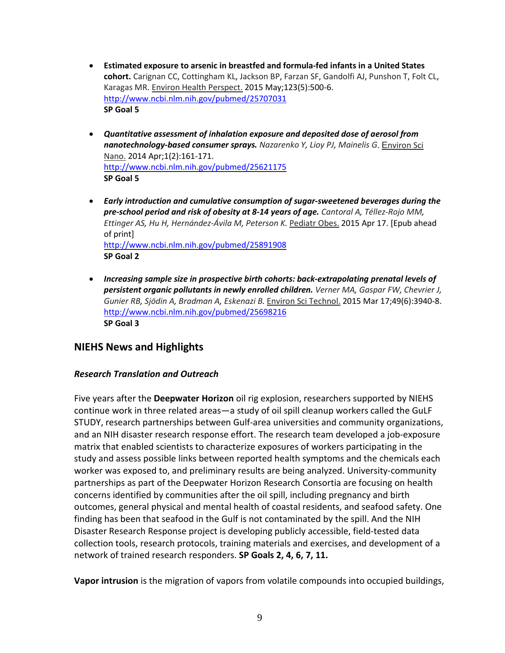- **Estimated exposure to arsenic in breastfed and formula-fed infants in a United States cohort.** [Carignan CC,](http://www.ncbi.nlm.nih.gov/pubmed/?term=Carignan%20CC%5BAuthor%5D&cauthor=true&cauthor_uid=25707031) [Cottingham KL,](http://www.ncbi.nlm.nih.gov/pubmed/?term=Cottingham%20KL%5BAuthor%5D&cauthor=true&cauthor_uid=25707031) [Jackson BP,](http://www.ncbi.nlm.nih.gov/pubmed/?term=Jackson%20BP%5BAuthor%5D&cauthor=true&cauthor_uid=25707031) [Farzan SF,](http://www.ncbi.nlm.nih.gov/pubmed/?term=Farzan%20SF%5BAuthor%5D&cauthor=true&cauthor_uid=25707031) [Gandolfi AJ,](http://www.ncbi.nlm.nih.gov/pubmed/?term=Gandolfi%20AJ%5BAuthor%5D&cauthor=true&cauthor_uid=25707031) [Punshon](http://www.ncbi.nlm.nih.gov/pubmed/?term=Punshon%20T%5BAuthor%5D&cauthor=true&cauthor_uid=25707031) T[, Folt CL,](http://www.ncbi.nlm.nih.gov/pubmed/?term=Folt%20CL%5BAuthor%5D&cauthor=true&cauthor_uid=25707031) [Karagas MR.](http://www.ncbi.nlm.nih.gov/pubmed/?term=Karagas%20MR%5BAuthor%5D&cauthor=true&cauthor_uid=25707031) Environ Health Perspect. 2015 May;123(5):500-6. <http://www.ncbi.nlm.nih.gov/pubmed/25707031> **SP Goal 5**
- *Quantitative assessment of inhalation exposure and deposited dose of aerosol from nanotechnology-based consumer sprays. [Nazarenko Y,](http://www.ncbi.nlm.nih.gov/pubmed/?term=Nazarenko%20Y%5BAuthor%5D&cauthor=true&cauthor_uid=25621175) [Lioy PJ,](http://www.ncbi.nlm.nih.gov/pubmed/?term=Lioy%20PJ%5BAuthor%5D&cauthor=true&cauthor_uid=25621175) [Mainelis G](http://www.ncbi.nlm.nih.gov/pubmed/?term=Mainelis%20G%5BAuthor%5D&cauthor=true&cauthor_uid=25621175)*. Environ Sci Nano. 2014 Apr;1(2):161-171. <http://www.ncbi.nlm.nih.gov/pubmed/25621175> **SP Goal 5**
- *Early introduction and cumulative consumption of sugar-sweetened beverages during the pre-school period and risk of obesity at 8-14 years of age. [Cantoral A,](http://www.ncbi.nlm.nih.gov/pubmed/?term=Cantoral%20A%5BAuthor%5D&cauthor=true&cauthor_uid=25891908) [Téllez-Rojo MM,](http://www.ncbi.nlm.nih.gov/pubmed/?term=T%C3%A9llez-Rojo%20MM%5BAuthor%5D&cauthor=true&cauthor_uid=25891908) [Ettinger AS,](http://www.ncbi.nlm.nih.gov/pubmed/?term=Ettinger%20AS%5BAuthor%5D&cauthor=true&cauthor_uid=25891908) [Hu H,](http://www.ncbi.nlm.nih.gov/pubmed/?term=Hu%20H%5BAuthor%5D&cauthor=true&cauthor_uid=25891908) [Hernández-Ávila M,](http://www.ncbi.nlm.nih.gov/pubmed/?term=Hern%C3%A1ndez-%C3%81vila%20M%5BAuthor%5D&cauthor=true&cauthor_uid=25891908) [Peterson K.](http://www.ncbi.nlm.nih.gov/pubmed/?term=Peterson%20K%5BAuthor%5D&cauthor=true&cauthor_uid=25891908)* Pediatr Obes. 2015 Apr 17. [Epub ahead of print] <http://www.ncbi.nlm.nih.gov/pubmed/25891908> **SP Goal 2**
- *Increasing sample size in prospective birth cohorts: back-extrapolating prenatal levels of persistent organic pollutants in newly enrolled children. [Verner MA,](http://www.ncbi.nlm.nih.gov/pubmed/?term=Verner%20MA%5BAuthor%5D&cauthor=true&cauthor_uid=25698216) [Gaspar FW,](http://www.ncbi.nlm.nih.gov/pubmed/?term=Gaspar%20FW%5BAuthor%5D&cauthor=true&cauthor_uid=25698216) [Chevrier J,](http://www.ncbi.nlm.nih.gov/pubmed/?term=Chevrier%20J%5BAuthor%5D&cauthor=true&cauthor_uid=25698216) [Gunier RB,](http://www.ncbi.nlm.nih.gov/pubmed/?term=Gunier%20RB%5BAuthor%5D&cauthor=true&cauthor_uid=25698216) [Sjödin A,](http://www.ncbi.nlm.nih.gov/pubmed/?term=Sj%C3%B6din%20A%5BAuthor%5D&cauthor=true&cauthor_uid=25698216) [Bradman A,](http://www.ncbi.nlm.nih.gov/pubmed/?term=Bradman%20A%5BAuthor%5D&cauthor=true&cauthor_uid=25698216) [Eskenazi B.](http://www.ncbi.nlm.nih.gov/pubmed/?term=Eskenazi%20B%5BAuthor%5D&cauthor=true&cauthor_uid=25698216)* Environ Sci Technol. 2015 Mar 17;49(6):3940-8. <http://www.ncbi.nlm.nih.gov/pubmed/25698216> **SP Goal 3**

## **NIEHS News and Highlights**

### *Research Translation and Outreach*

Five years after the **Deepwater Horizon** oil rig explosion, researchers supported by NIEHS continue work in three related areas—a study of oil spill cleanup workers called the GuLF STUDY, research partnerships between Gulf-area universities and community organizations, and an NIH disaster research response effort. The research team developed a job-exposure matrix that enabled scientists to characterize exposures of workers participating in the study and assess possible links between reported health symptoms and the chemicals each worker was exposed to, and preliminary results are being analyzed. University-community partnerships as part of the Deepwater Horizon Research Consortia are focusing on health concerns identified by communities after the oil spill, including pregnancy and birth outcomes, general physical and mental health of coastal residents, and seafood safety. One finding has been that seafood in the Gulf is not contaminated by the spill. And the NIH Disaster Research Response project is developing publicly accessible, field-tested data collection tools, research protocols, training materials and exercises, and development of a network of trained research responders. **SP Goals 2, 4, 6, 7, 11.**

**Vapor intrusion** is the migration of vapors from volatile compounds into occupied buildings,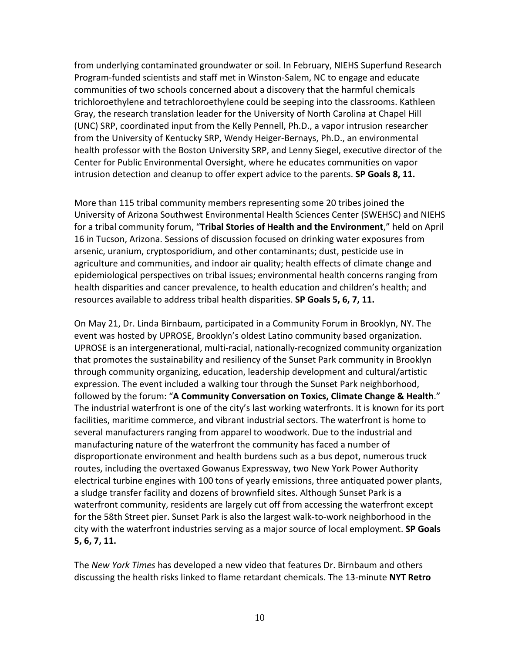from underlying contaminated groundwater or soil. In February, NIEHS Superfund Research Program-funded scientists and staff met in Winston-Salem, NC to engage and educate communities of two schools concerned about a discovery that the harmful chemicals trichloroethylene and tetrachloroethylene could be seeping into the classrooms. Kathleen Gray, the research translation leader for the University of North Carolina at Chapel Hill (UNC) SRP, coordinated input from the Kelly Pennell, Ph.D., a vapor intrusion researcher from the University of Kentucky SRP, Wendy Heiger-Bernays, Ph.D., an environmental health professor with the [Boston University SRP,](http://www.busrp.org/) and Lenny Siegel, executive director of the [Center for Public Environmental Oversight,](http://www.cpeo.org/) where he educates communities on vapor intrusion detection and cleanup to offer expert advice to the parents. **SP Goals 8, 11.**

More than 115 tribal community members representing some 20 tribes joined the University of Arizona Southwest Environmental Health Sciences Center (SWEHSC) and NIEHS for a tribal community forum, "**Tribal Stories of Health and the Environment**," held on April 16 in Tucson, Arizona. Sessions of discussion focused on drinking water exposures from arsenic, uranium, cryptosporidium, and other contaminants; dust, pesticide use in agriculture and communities, and indoor air quality; health effects of climate change and epidemiological perspectives on tribal issues; environmental health concerns ranging from health disparities and cancer prevalence, to health education and children's health; and resources available to address tribal health disparities. **SP Goals 5, 6, 7, 11.**

On May 21, Dr. Linda Birnbaum, participated in a Community Forum in Brooklyn, NY. The event was hosted by UPROSE, Brooklyn's oldest Latino community based organization. UPROSE is an intergenerational, multi-racial, nationally-recognized community organization that promotes the sustainability and resiliency of the Sunset Park community in Brooklyn through community organizing, education, leadership development and cultural/artistic expression. The event included a walking tour through the Sunset Park neighborhood, followed by the forum: "**A Community Conversation on Toxics, Climate Change & Health**." The industrial waterfront is one of the city's last working waterfronts. It is known for its port facilities, maritime commerce, and vibrant industrial sectors. The waterfront is home to several manufacturers ranging from apparel to woodwork. Due to the industrial and manufacturing nature of the waterfront the community has faced a number of disproportionate environment and health burdens such as a bus depot, numerous truck routes, including the overtaxed Gowanus Expressway, two New York Power Authority electrical turbine engines with 100 tons of yearly emissions, three antiquated power plants, a sludge transfer facility and dozens of brownfield sites. Although Sunset Park is a waterfront community, residents are largely cut off from accessing the waterfront except for the 58th Street pier. Sunset Park is also the largest walk-to-work neighborhood in the city with the waterfront industries serving as a major source of local employment. **SP Goals 5, 6, 7, 11.**

The *New York Times* has developed a new video that features Dr. Birnbaum and others discussing the health risks linked to flame retardant chemicals. The 13-minute **NYT Retro**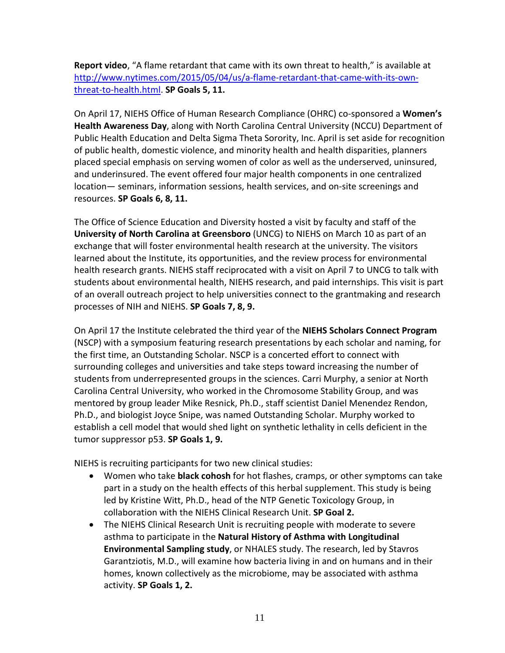**Report video**, "A flame retardant that came with its own threat to health," is available at [http://www.nytimes.com/2015/05/04/us/a-flame-retardant-that-came-with-its-own](http://www.nytimes.com/2015/05/04/us/a-flame-retardant-that-came-with-its-own-threat-to-health.html)[threat-to-health.html.](http://www.nytimes.com/2015/05/04/us/a-flame-retardant-that-came-with-its-own-threat-to-health.html) **SP Goals 5, 11.**

On April 17, NIEHS Office of Human Research Compliance (OHRC) co-sponsored a **Women's Health Awareness Day**, along with North Carolina Central University (NCCU) Department of Public Health Education and Delta Sigma Theta Sorority, Inc. April is set aside for recognition of public health, domestic violence, and minority health and health disparities, planners placed special emphasis on serving women of color as well as the underserved, uninsured, and underinsured. The event offered four major health components in one centralized location— seminars, information sessions, health services, and on-site screenings and resources. **SP Goals 6, 8, 11.**

The Office of Science Education and Diversity hosted a visit by faculty and staff of the **University of North Carolina at Greensboro** (UNCG) to NIEHS on March 10 as part of an exchange that will foster environmental health research at the university. The visitors learned about the Institute, its opportunities, and the review process for environmental health research grants. NIEHS staff reciprocated with a visit on April 7 to UNCG to talk with students about environmental health, NIEHS research, and paid internships. This visit is part of an overall outreach project to help universities connect to the grantmaking and research processes of NIH and NIEHS. **SP Goals 7, 8, 9.**

On April 17 the Institute celebrated the third year of the **NIEHS Scholars Connect Program** (NSCP) with a symposium featuring research presentations by each scholar and naming, for the first time, an Outstanding Scholar. NSCP is a concerted effort to connect with surrounding colleges and universities and take steps toward increasing the number of students from underrepresented groups in the sciences. Carri Murphy, a senior at North Carolina Central University, who worked in the Chromosome Stability Group, and was mentored by group leader Mike Resnick, Ph.D., staff scientist Daniel Menendez Rendon, Ph.D., and biologist Joyce Snipe, was named Outstanding Scholar. Murphy worked to establish a cell model that would shed light on synthetic lethality in cells deficient in the tumor suppressor p53. **SP Goals 1, 9.**

NIEHS is recruiting participants for two new clinical studies:

- Women who take **black cohosh** for hot flashes, cramps, or other symptoms can take part in a study on the health effects of this herbal supplement. This study is being led by Kristine Witt, Ph.D., head of the NTP Genetic Toxicology Group, in collaboration with the NIEHS Clinical Research Unit. **SP Goal 2.**
- The NIEHS Clinical Research Unit is recruiting people with moderate to severe asthma to participate in the **Natural History of Asthma with Longitudinal Environmental Sampling study**, or NHALES study. The research, led by Stavros Garantziotis, M.D., will examine how bacteria living in and on humans and in their homes, known collectively as the microbiome, may be associated with asthma activity. **SP Goals 1, 2.**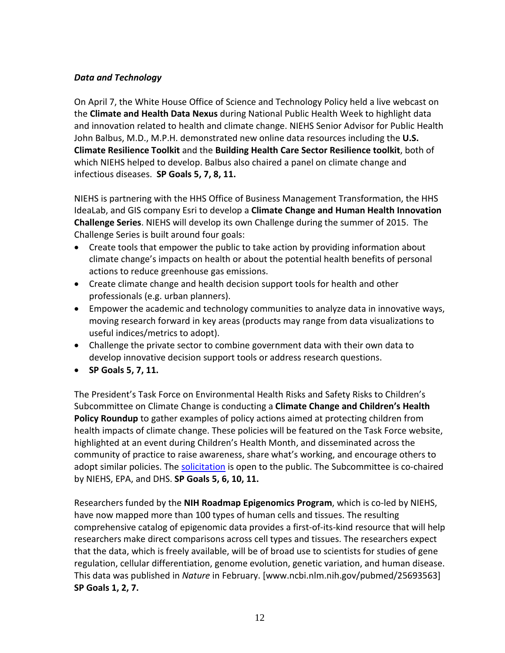### *Data and Technology*

On April 7, the White House Office of Science and Technology Policy held a live webcast on the **Climate and Health Data Nexus** during National Public Health Week to highlight data and innovation related to health and climate change. NIEHS Senior Advisor for Public Health John Balbus, M.D., M.P.H. demonstrated new online data resources including the **U.S. Climate Resilience Toolkit** and the **Building Health Care Sector Resilience toolkit**, both of which NIEHS helped to develop. Balbus also chaired a panel on climate change and infectious diseases. **SP Goals 5, 7, 8, 11.**

NIEHS is partnering with the HHS Office of Business Management Transformation, the HHS IdeaLab, and GIS company Esri to develop a **Climate Change and Human Health Innovation Challenge Series**. NIEHS will develop its own Challenge during the summer of 2015. The Challenge Series is built around four goals:

- Create tools that empower the public to take action by providing information about climate change's impacts on health or about the potential health benefits of personal actions to reduce greenhouse gas emissions.
- Create climate change and health decision support tools for health and other professionals (e.g. urban planners).
- Empower the academic and technology communities to analyze data in innovative ways, moving research forward in key areas (products may range from data visualizations to useful indices/metrics to adopt).
- Challenge the private sector to combine government data with their own data to develop innovative decision support tools or address research questions.
- **SP Goals 5, 7, 11.**

The President's Task Force on Environmental Health Risks and Safety Risks to Children's Subcommittee on Climate Change is conducting a **Climate Change and Children's Health Policy Roundup** to gather examples of policy actions aimed at protecting children from health impacts of climate change. These policies will be featured on the Task Force website, highlighted at an event during Children's Health Month, and disseminated across the community of practice to raise awareness, share what's working, and encourage others to adopt similar policies. The [solicitation](http://www.niehs.nih.gov/research/programs/geh/climatechange/policy_roundup/index.cfm) is open to the public. The Subcommittee is co-chaired by NIEHS, EPA, and DHS. **SP Goals 5, 6, 10, 11.**

Researchers funded by the **NIH Roadmap Epigenomics Program**, which is co-led by NIEHS, have now mapped more than 100 types of human cells and tissues. The resulting comprehensive catalog of epigenomic data provides a first-of-its-kind resource that will help researchers make direct comparisons across cell types and tissues. The researchers expect that the data, which is freely available, will be of broad use to scientists for studies of gene regulation, cellular differentiation, genome evolution, genetic variation, and human disease. This data was published in *Nature* in February. [www.ncbi.nlm.nih.gov/pubmed/25693563] **SP Goals 1, 2, 7.**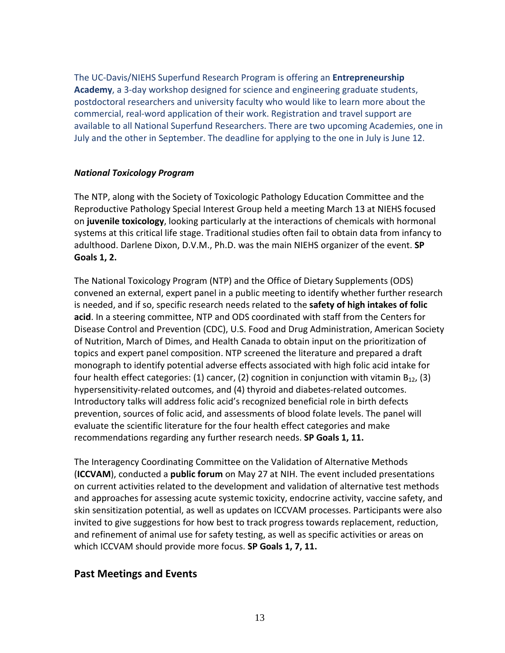The UC-Davis/NIEHS Superfund Research Program is offering an **Entrepreneurship Academy**, a 3-day workshop designed for science and engineering graduate students, postdoctoral researchers and university faculty who would like to learn more about the commercial, real-word application of their work. Registration and travel support are available to all National Superfund Researchers. There are two upcoming Academies, one in July and the other in September. The deadline for applying to the one in July is June 12.

### *National Toxicology Program*

The NTP, along with the Society of Toxicologic Pathology Education Committee and the Reproductive Pathology Special Interest Group held a meeting March 13 at NIEHS focused on **juvenile toxicology**, looking particularly at the interactions of chemicals with hormonal systems at this critical life stage. Traditional studies often fail to obtain data from infancy to adulthood. Darlene Dixon, D.V.M., Ph.D. was the main NIEHS organizer of the event. **SP Goals 1, 2.**

The National Toxicology Program (NTP) and the Office of Dietary Supplements (ODS) convened an external, expert panel in a public meeting to identify whether further research is needed, and if so, specific research needs related to the **safety of high intakes of folic acid**. In a steering committee, NTP and ODS coordinated with staff from the Centers for Disease Control and Prevention (CDC), U.S. Food and Drug Administration, American Society of Nutrition, March of Dimes, and Health Canada to obtain input on the prioritization of topics and expert panel composition. NTP screened the literature and prepared a draft monograph to identify potential adverse effects associated with high folic acid intake for four health effect categories: (1) cancer, (2) cognition in conjunction with vitamin  $B_{12}$ , (3) hypersensitivity-related outcomes, and (4) thyroid and diabetes-related outcomes. Introductory talks will address folic acid's recognized beneficial role in birth defects prevention, sources of folic acid, and assessments of blood folate levels. The panel will evaluate the scientific literature for the four health effect categories and make recommendations regarding any further research needs. **SP Goals 1, 11.**

The Interagency Coordinating Committee on the Validation of Alternative Methods (**ICCVAM**), conducted a **public forum** on May 27 at NIH. The event included presentations on current activities related to the development and validation of alternative test methods and approaches for assessing acute systemic toxicity, endocrine activity, vaccine safety, and skin sensitization potential, as well as updates on ICCVAM processes. Participants were also invited to give suggestions for how best to track progress towards replacement, reduction, and refinement of animal use for safety testing, as well as specific activities or areas on which ICCVAM should provide more focus. **SP Goals 1, 7, 11.**

## **Past Meetings and Events**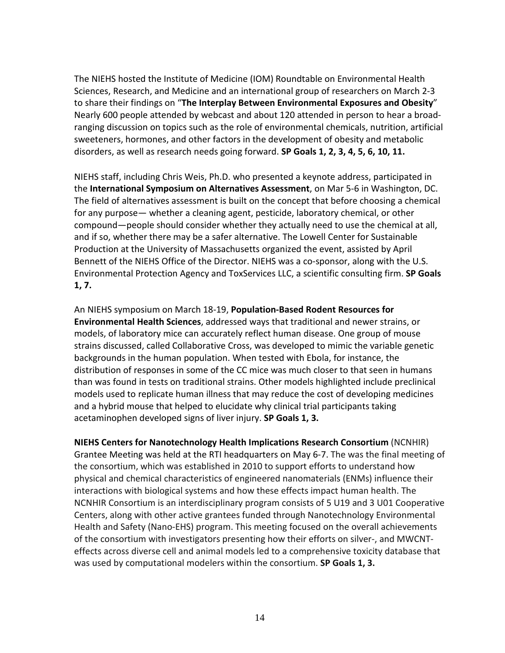The NIEHS hosted the Institute of Medicine (IOM) Roundtable on Environmental Health Sciences, Research, and Medicine and an international group of researchers on March 2-3 to share their findings on "**The Interplay Between Environmental Exposures and Obesity**" Nearly 600 people attended by webcast and about 120 attended in person to hear a broadranging discussion on topics such as the role of environmental chemicals, nutrition, artificial sweeteners, hormones, and other factors in the development of obesity and metabolic disorders, as well as research needs going forward. **SP Goals 1, 2, 3, 4, 5, 6, 10, 11.**

NIEHS staff, including Chris Weis, Ph.D. who presented a keynote address, participated in the **International Symposium on Alternatives Assessment**, on Mar 5-6 in Washington, DC. The field of alternatives assessment is built on the concept that before choosing a chemical for any purpose— whether a cleaning agent, pesticide, laboratory chemical, or other compound—people should consider whether they actually need to use the chemical at all, and if so, whether there may be a safer alternative. The Lowell Center for Sustainable Production at the University of Massachusetts organized the event, assisted by April Bennett of the NIEHS Office of the Director. NIEHS was a co-sponsor, along with the U.S. Environmental Protection Agency and ToxServices LLC, a scientific consulting firm. **SP Goals 1, 7.**

An NIEHS symposium on March 18-19, **Population-Based Rodent Resources for Environmental Health Sciences**, addressed ways that traditional and newer strains, or models, of laboratory mice can accurately reflect human disease. One group of mouse strains discussed, called Collaborative Cross, was developed to mimic the variable genetic backgrounds in the human population. When tested with Ebola, for instance, the distribution of responses in some of the CC mice was much closer to that seen in humans than was found in tests on traditional strains. Other models highlighted include preclinical models used to replicate human illness that may reduce the cost of developing medicines and a hybrid mouse that helped to elucidate why clinical trial participants taking acetaminophen developed signs of liver injury. **SP Goals 1, 3.**

**NIEHS Centers for Nanotechnology Health Implications Research Consortium** (NCNHIR) Grantee Meeting was held at the RTI headquarters on May 6-7. The was the final meeting of the consortium, which was established in 2010 to support efforts to understand how physical and chemical characteristics of engineered nanomaterials (ENMs) influence their interactions with biological systems and how these effects impact human health. The NCNHIR Consortium is an interdisciplinary program consists of 5 U19 and 3 U01 Cooperative Centers, along with other active grantees funded through Nanotechnology Environmental Health and Safety (Nano-EHS) program. This meeting focused on the overall achievements of the consortium with investigators presenting how their efforts on silver-, and MWCNTeffects across diverse cell and animal models led to a comprehensive toxicity database that was used by computational modelers within the consortium. **SP Goals 1, 3.**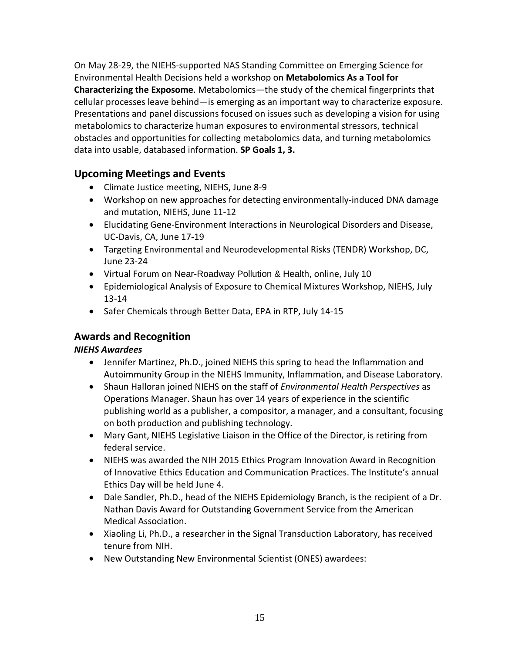On May 28-29, the NIEHS-supported NAS Standing Committee on Emerging Science for Environmental Health Decisions held a workshop on **Metabolomics As a Tool for Characterizing the Exposome**. Metabolomics—the study of the chemical fingerprints that cellular processes leave behind—is emerging as an important way to characterize exposure. Presentations and panel discussions focused on issues such as developing a vision for using metabolomics to characterize human exposures to environmental stressors, technical obstacles and opportunities for collecting metabolomics data, and turning metabolomics data into usable, databased information. **SP Goals 1, 3.**

# **Upcoming Meetings and Events**

- Climate Justice meeting, NIEHS, June 8-9
- Workshop on new approaches for detecting environmentally-induced DNA damage and mutation, NIEHS, June 11-12
- Elucidating Gene-Environment Interactions in Neurological Disorders and Disease, UC-Davis, CA, June 17-19
- Targeting Environmental and Neurodevelopmental Risks (TENDR) Workshop, DC, June 23-24
- Virtual Forum on Near-Roadway Pollution & Health, online, July 10
- Epidemiological Analysis of Exposure to Chemical Mixtures Workshop, NIEHS, July 13-14
- Safer Chemicals through Better Data, EPA in RTP, July 14-15

## **Awards and Recognition**

### *NIEHS Awardees*

- Jennifer Martinez, Ph.D., joined NIEHS this spring to head the Inflammation and Autoimmunity Group in the NIEHS Immunity, Inflammation, and Disease Laboratory.
- Shaun Halloran joined NIEHS on the staff of *Environmental Health Perspectives* as Operations Manager. Shaun has over 14 years of experience in the scientific publishing world as a publisher, a compositor, a manager, and a consultant, focusing on both production and publishing technology.
- Mary Gant, NIEHS Legislative Liaison in the Office of the Director, is retiring from federal service.
- NIEHS was awarded the NIH 2015 Ethics Program Innovation Award in Recognition of Innovative Ethics Education and Communication Practices. The Institute's annual Ethics Day will be held June 4.
- Dale Sandler, Ph.D., head of the NIEHS Epidemiology Branch, is the recipient of a Dr. Nathan Davis Award for Outstanding Government Service from the American Medical Association.
- Xiaoling Li, Ph.D., a researcher in the Signal Transduction Laboratory, has received tenure from NIH.
- New Outstanding New Environmental Scientist (ONES) awardees: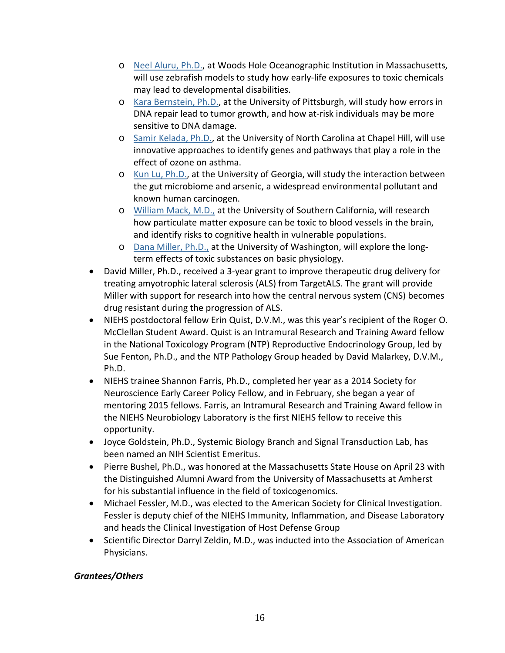- o [Neel Aluru, Ph.D.,](http://www.whoi.edu/page.do?pid=109916) at Woods Hole Oceanographic Institution in Massachusetts, will use zebrafish models to study how early-life exposures to toxic chemicals may lead to developmental disabilities.
- o [Kara Bernstein, Ph.D.,](http://www.mmg.pitt.edu/node/764) at the University of Pittsburgh, will study how errors in DNA repair lead to tumor growth, and how at-risk individuals may be more sensitive to DNA damage.
- o [Samir Kelada, Ph.D.,](http://www.med.unc.edu/cfpulmcenter/about-us/faculty/samir-kelada-phd) at the University of North Carolina at Chapel Hill, will use innovative approaches to identify genes and pathways that play a role in the effect of ozone on asthma.
- o [Kun Lu, Ph.D.,](https://www.publichealth.uga.edu/ehs/about/directory/faculty/kun_lu) at the University of Georgia, will study the interaction between the gut microbiome and arsenic, a widespread environmental pollutant and known human carcinogen.
- o [William Mack, M.D.,](http://keck.usc.edu/en/Education/Academic_Department_and_Divisions/Department_of_Neurology/Patient_Services_and_Clinical_Programs/Stroke_and_Cerebrovascular_Center/Faculty_and_Staff/Mack.aspx) at the University of Southern California, will research how particulate matter exposure can be toxic to blood vessels in the brain, and identify risks to cognitive health in vulnerable populations.
- o [Dana Miller, Ph.D.,](http://depts.washington.edu/biowww/pages/faculty-Miller.shtml) at the University of Washington, will explore the longterm effects of toxic substances on basic physiology.
- David Miller, Ph.D., received a 3-year grant to improve therapeutic drug delivery for treating amyotrophic lateral sclerosis (ALS) from TargetALS. The grant will provide Miller with support for research into how the central nervous system (CNS) becomes drug resistant during the progression of ALS.
- NIEHS postdoctoral fellow Erin Quist, D.V.M., was this year's recipient of the Roger O. McClellan Student Award. Quist is an Intramural Research and Training Award fellow in the National Toxicology Program (NTP) Reproductive Endocrinology Group, led by Sue Fenton, Ph.D., and the NTP Pathology Group headed by David Malarkey, D.V.M., Ph.D.
- NIEHS trainee Shannon Farris, Ph.D., completed her year as a 2014 Society for Neuroscience Early Career Policy Fellow, and in February, she began a year of mentoring 2015 fellows. Farris, an Intramural Research and Training Award fellow in the NIEHS Neurobiology Laboratory is the first NIEHS fellow to receive this opportunity.
- Joyce Goldstein, Ph.D., Systemic Biology Branch and Signal Transduction Lab, has been named an NIH Scientist Emeritus.
- Pierre Bushel, Ph.D., was honored at the Massachusetts State House on April 23 with the Distinguished Alumni Award from the University of Massachusetts at Amherst for his substantial influence in the field of toxicogenomics.
- Michael Fessler, M.D., was elected to the American Society for Clinical Investigation. Fessler is deputy chief of the NIEHS Immunity, Inflammation, and Disease Laboratory and heads the Clinical Investigation of Host Defense Group
- Scientific Director Darryl Zeldin, M.D., was inducted into the Association of American Physicians.

## *Grantees/Others*